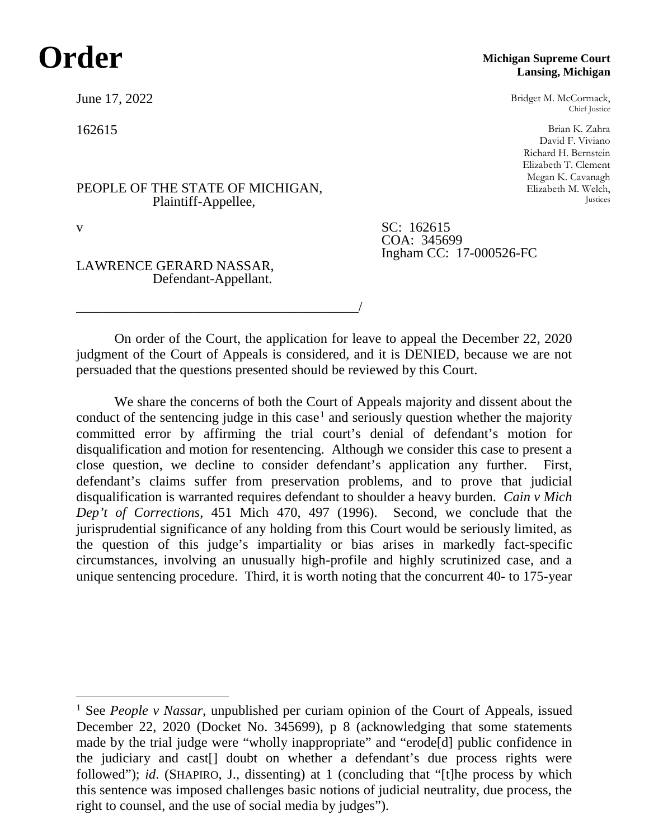## **Order**

June 17, 2022

162615

PEOPLE OF THE STATE OF MICHIGAN, Plaintiff-Appellee,

\_\_\_\_\_\_\_\_\_\_\_\_\_\_\_\_\_\_\_\_\_\_\_\_\_\_\_\_\_\_\_\_\_\_\_\_\_\_\_\_\_/

LAWRENCE GERARD NASSAR, Defendant-Appellant.

## **Michigan Supreme Court Lansing, Michigan**

Bridget M. McCormack, Chief Justice

Brian K. Zahra David F. Viviano Richard H. Bernstein Elizabeth T. Clement Megan K. Cavanagh Elizabeth M. Welch, Justices

v SC: 162615 COA: 345699 Ingham CC: 17-000526-FC

On order of the Court, the application for leave to appeal the December 22, 2020 judgment of the Court of Appeals is considered, and it is DENIED, because we are not persuaded that the questions presented should be reviewed by this Court.

We share the concerns of both the Court of Appeals majority and dissent about the conduct of the sentencing judge in this case<sup>[1](#page-0-0)</sup> and seriously question whether the majority committed error by affirming the trial court's denial of defendant's motion for disqualification and motion for resentencing. Although we consider this case to present a close question, we decline to consider defendant's application any further. First, defendant's claims suffer from preservation problems, and to prove that judicial disqualification is warranted requires defendant to shoulder a heavy burden. *Cain v Mich Dep't of Corrections*, 451 Mich 470, 497 (1996). Second, we conclude that the jurisprudential significance of any holding from this Court would be seriously limited, as the question of this judge's impartiality or bias arises in markedly fact-specific circumstances, involving an unusually high-profile and highly scrutinized case, and a unique sentencing procedure. Third, it is worth noting that the concurrent 40- to 175-year

<span id="page-0-0"></span> <sup>1</sup> See *People v Nassar*, unpublished per curiam opinion of the Court of Appeals, issued December 22, 2020 (Docket No. 345699), p 8 (acknowledging that some statements made by the trial judge were "wholly inappropriate" and "erode[d] public confidence in the judiciary and cast[] doubt on whether a defendant's due process rights were followed"); *id.* (SHAPIRO, J., dissenting) at 1 (concluding that "[t]he process by which this sentence was imposed challenges basic notions of judicial neutrality, due process, the right to counsel, and the use of social media by judges").